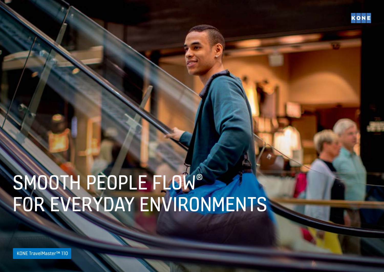

# SMOOTH PEOPLE FLOW® FOR EVERYDAY ENVIRONMENTS

KONE TravelMaster™ 110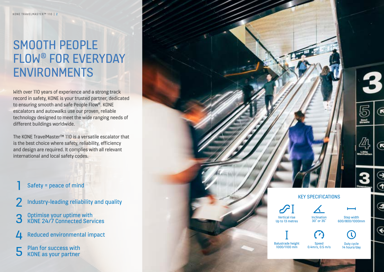### SMOOTH PEOPLE FLOW® FOR EVERYDAY ENVIRONMENTS

With over 110 years of experience and a strong track record in safety, KONE is your trusted partner, dedicated to ensuring smooth and safe People Flow®. KONE escalators and autowalks use our proven, reliable technology designed to meet the wide ranging needs of different buildings worldwide.

The KONE TravelMaster™ 110 is a versatile escalator that is the best choice where safety, reliability, efficiency and design are required. It complies with all relevant international and local safety codes.

### Safety = peace of mind

- Industry-leading reliability and quality
- 3 Optimise your uptime with KONE 24/7 Connected Services
- $\sqrt{1}$  Reduced environmental impact

**5** Plan for success with KONE as your partner

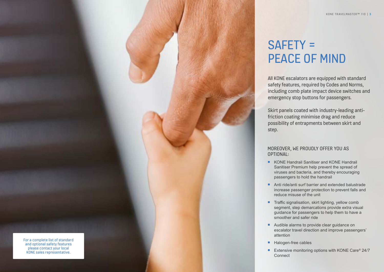For a complete list of standard and optional safety features please contact your local KONE sales representative.

### SAFETY = PEACE OF MIND

All KONE escalators are equipped with standard safety features, required by Codes and Norms, including comb plate impact device switches and emergency stop buttons for passengers.

Skirt panels coated with industry-leading antifriction coating minimise drag and reduce possibility of entrapments between skirt and step.

### MOREOVER, WE PROUDLY OFFER YOU AS OPTIONAL:

- KONE Handrail Sanitiser and KONE Handrail Sanitiser Premium help prevent the spread of viruses and bacteria, and thereby encouraging passengers to hold the handrail
- Anti ride/anti surf barrier and extended balustrade increase passenger protection to prevent falls and reduce misuse of the unit
- Traffic signalisation, skirt lighting, yellow comb segment, step demarcations provide extra visual guidance for passengers to help them to have a smoother and safer ride
- Audible alarms to provide clear guidance on escalator travel direction and improve passengers' attention
- Halogen-free cables
- Extensive monitoring options with KONE Care<sup>®</sup> 24/7 **Connect**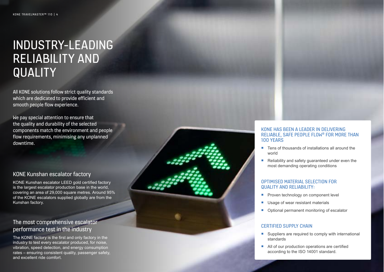### INDUSTRY-LEADING RELIABILITY AND **QUALITY**

All KONE solutions follow strict quality standards which are dedicated to provide efficient and smooth people flow experience.

We pay special attention to ensure that the quality and durability of the selected components match the environment and people flow requirements, minimising any unplanned downtime.

### KONE Kunshan escalator factory

KONE Kunshan escalator LEED gold certified factory is the largest escalator production base in the world, covering an area of 29,000 square metres. Around 95% of the KONE escalators supplied globally are from the Kunshan factory.

### The most comprehensive escalator performance test in the industry

The KONE factory is the first and only factory in the industry to test every escalator produced, for noise, vibration, speed detection, and energy consumption rates – ensuring consistent quality, passenger safety, and excellent ride comfort.

#### KONE HAS BEEN A LEADER IN DELIVERING RELIABLE, SAFE PEOPLE FLOW ® FOR MORE THAN 100 YEARS

- Tens of thousands of installations all around the world
- Reliability and safety quaranteed under even the most demanding operating conditions

#### OPTIMISED MATERIAL SELECTION FOR QUALITY AND RELIABILITY:

- Proven technology on component level
- Usage of wear resistant materials
- Optional permanent monitoring of escalator

### CERTIFIED SUPPLY CHAIN

- Suppliers are required to comply with international standards
- All of our production operations are certified according to the ISO 14001 standard.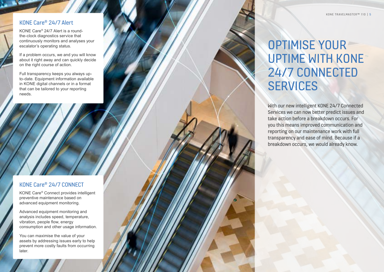### KONE Care ® 24/7 Alert

KONE Care ® 24/7 Alert is a roundthe-clock diagnostics service that continuously monitors and analyses your escalator's operating status.

If a problem occurs, we and you will know about it right away and can quickly decide on the right course of action.

Full transparency keeps you always upto-date. Equipment information available in KONE digital channels or in a format that can be tailored to your reporting needs.

### KONE Care ® 24/7 CONNECT

KONE Care ® Connect provides intelligent preventive maintenance based on advanced equipment monitoring.

Advanced equipment monitoring and analysis includes speed, temperature, vibration, people flow, energy consumption and other usage information.

You can maximise the value of your assets by addressing issues early to help prevent more costly faults from occurring later.

## OPTIMISE YOUR UPTIME WITH KONE 24/7 CONNECTED **SERVICES**

With our new intelligent KONE 24/7 Connected Services we can now better predict issues and take action before a breakdown occurs. For you this means improved communication and reporting on our maintenance work with full transparency and ease of mind. Because if a breakdown occurs, we would already know.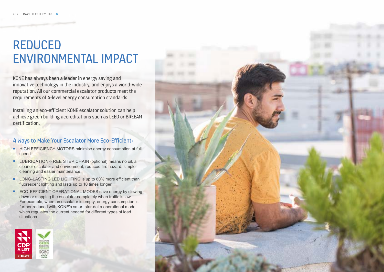### REDUCED ENVIRONMENTAL IMPACT

KONE has always been a leader in energy saving and innovative technology in the industry, and enjoys a world-wide reputation. All our commercial escalator products meet the requirements of A-level energy consumption standards.

Installing an eco-efficient KONE escalator solution can help achieve green building accreditations such as LEED or BREEAM certification.

### 4 Ways to Make Your Escalator More Eco-Efficient:

- **EXECUTE HIGH EFFICIENCY MOTORS minimise energy consumption at full** speed.
- **EXECUTE LUBRICATION-FREE STEP CHAIN (optional) means no oil, a** cleaner escalator and environment, reduced fire hazard, simpler cleaning and easier maintenance.
- LONG-LASTING LED LIGHTING is up to 80% more efficient than fluorescent lighting and lasts up to 10 times longer.
- ECO-EFFICIENT OPERATIONAL MODES save energy by slowing down or stopping the escalator completely when traffic is low. For example, when an escalator is empty, energy consumption is further reduced with KONE's smart star-delta operational mode, which regulates the current needed for different types of load situations.



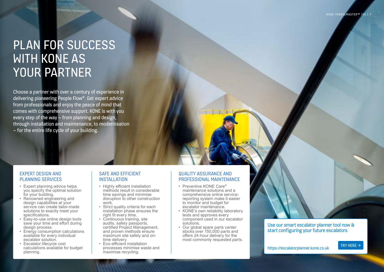### PLAN FOR SUCCESS WITH KONE AS YOUR PARTNER

Choose a partner with over a century of experience in delivering pioneering People Flow®. Get expert advice from professionals and enjoy the peace of mind that comes with comprehensive support. KONE is with you every step of the way – from planning and design, through installation and maintenance, to modernisation – for the entire life cycle of your building.

### EXPERT DESIGN AND PLANNING SERVICES

- Expert planning advice helps you specify the optimal solution for your building.
- Renowned engineering and design capabilities at your service can create tailor-made solutions to exactly meet your specifications.
- Easy-to-use online design tools save your time and effort during design process.
- Energy consumption calculations available for every individual escalator solution.
- Escalator lifecycle cost calculations available for budget planning.

### SAFE AND EFFICIENT **INSTALLATION**

- Highly efficient installation methods result in considerable time savings and minimise disruption to other construction work.
- Strict quality criteria for each installation phase ensures the right fit every time.
- Continuous training, site audits, safety passports, certified Project Management, and proven methods ensure maximum site safety and ontime delivery.
- Eco-efficient installation processes minimise waste and maximise recycling.

### QUALITY ASSURANCE AND PROFESSIONAL MAINTENANCE

- Preventive KONE Care® maintenance solutions and a comprehensive online servicereporting system make it easier to monitor and budget for escalator maintenance.
- KONE's own reliability laboratory tests and approves every component used in our escalator solutions.
- Our global spare parts center stocks over 150,000 parts and offers 24-hour delivery for the most commonly requested parts.

### [Use our smart escalator planner tool now &](https://escalatorplanner.kone.co.uk)  start configuring your future escalators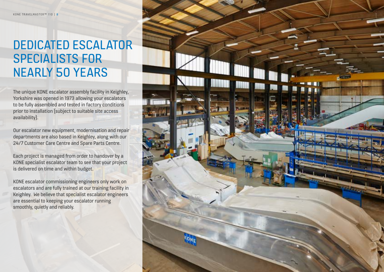## DEDICATED ESCALATOR SPECIALISTS FOR NEARLY 50 YEARS

The unique KONE escalator assembly facility in Keighley, Yorkshire was opened in 1973 allowing your escalators to be fully assembled and tested in factory conditions prior to installation (subject to suitable site access availability).

Our escalator new equipment, modernisation and repair departments are also based in Keighley, along with our 24/7 Customer Care Centre and Spare Parts Centre.

Each project is managed from order to handover by a KONE specialist escalator team to see that your project is delivered on time and within budget.

KONE escalator commissioning engineers only work on escalators and are fully trained at our training facility in Keighley. We believe that specialist escalator engineers are essential to keeping your escalator running smoothly, quietly and reliably.